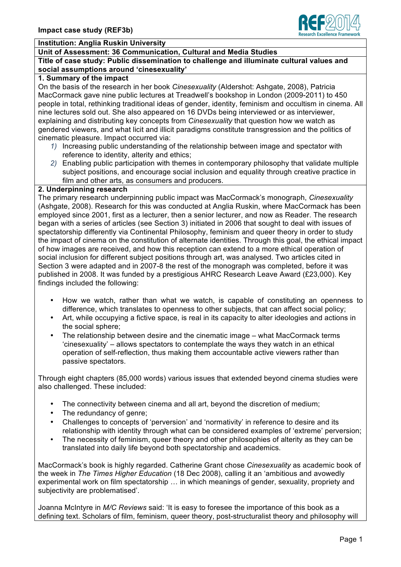

## **Institution: Anglia Ruskin University**

# **Unit of Assessment: 36 Communication, Cultural and Media Studies**

### **Title of case study: Public dissemination to challenge and illuminate cultural values and social assumptions around 'cinesexuality'**

#### **1. Summary of the impact**

On the basis of the research in her book *Cinesexuality* (Aldershot: Ashgate, 2008), Patricia MacCormack gave nine public lectures at Treadwell's bookshop in London (2009-2011) to 450 people in total, rethinking traditional ideas of gender, identity, feminism and occultism in cinema. All nine lectures sold out. She also appeared on 16 DVDs being interviewed or as interviewer, explaining and distributing key concepts from *Cinesexuality* that question how we watch as gendered viewers, and what licit and illicit paradigms constitute transgression and the politics of cinematic pleasure. Impact occurred via:

- *1)* Increasing public understanding of the relationship between image and spectator with reference to identity, alterity and ethics;
- *2)* Enabling public participation with themes in contemporary philosophy that validate multiple subject positions, and encourage social inclusion and equality through creative practice in film and other arts, as consumers and producers.

#### **2. Underpinning research**

The primary research underpinning public impact was MacCormack's monograph, *Cinesexuality* (Ashgate, 2008). Research for this was conducted at Anglia Ruskin, where MacCormack has been employed since 2001, first as a lecturer, then a senior lecturer, and now as Reader. The research began with a series of articles (see Section 3) initiated in 2006 that sought to deal with issues of spectatorship differently via Continental Philosophy, feminism and queer theory in order to study the impact of cinema on the constitution of alternate identities. Through this goal, the ethical impact of how images are received, and how this reception can extend to a more ethical operation of social inclusion for different subject positions through art, was analysed. Two articles cited in Section 3 were adapted and in 2007-8 the rest of the monograph was completed, before it was published in 2008. It was funded by a prestigious AHRC Research Leave Award (£23,000). Key findings included the following:

- How we watch, rather than what we watch, is capable of constituting an openness to difference, which translates to openness to other subjects, that can affect social policy;
- Art, while occupying a fictive space, is real in its capacity to alter ideologies and actions in the social sphere;
- The relationship between desire and the cinematic image what MacCormack terms 'cinesexuality' – allows spectators to contemplate the ways they watch in an ethical operation of self-reflection, thus making them accountable active viewers rather than passive spectators.

Through eight chapters (85,000 words) various issues that extended beyond cinema studies were also challenged. These included:

- The connectivity between cinema and all art, beyond the discretion of medium;
- The redundancy of genre;
- Challenges to concepts of 'perversion' and 'normativity' in reference to desire and its relationship with identity through what can be considered examples of 'extreme' perversion;
- The necessity of feminism, queer theory and other philosophies of alterity as they can be translated into daily life beyond both spectatorship and academics.

MacCormack's book is highly regarded. Catherine Grant chose *Cinesexuality* as academic book of the week in *The Times Higher Education* (18 Dec 2008), calling it an 'ambitious and avowedly experimental work on film spectatorship … in which meanings of gender, sexuality, propriety and subjectivity are problematised'.

Joanna McIntyre in *M/C Reviews* said: 'It is easy to foresee the importance of this book as a defining text. Scholars of film, feminism, queer theory, post-structuralist theory and philosophy will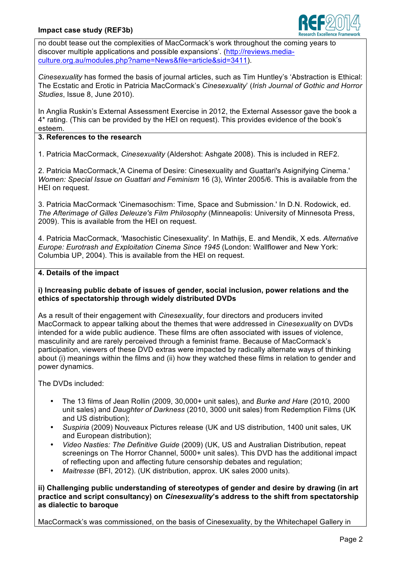

no doubt tease out the complexities of MacCormack's work throughout the coming years to discover multiple applications and possible expansions'. (http://reviews.mediaculture.org.au/modules.php?name=News&file=article&sid=3411).

*Cinesexuality* has formed the basis of journal articles, such as Tim Huntley's 'Abstraction is Ethical: The Ecstatic and Erotic in Patricia MacCormack's *Cinesexuality*' (*Irish Journal of Gothic and Horror Studies*, Issue 8, June 2010).

In Anglia Ruskin's External Assessment Exercise in 2012, the External Assessor gave the book a 4\* rating. (This can be provided by the HEI on request). This provides evidence of the book's esteem.

# **3. References to the research**

1. Patricia MacCormack, *Cinesexuality* (Aldershot: Ashgate 2008). This is included in REF2.

2. Patricia MacCormack,'A Cinema of Desire: Cinesexuality and Guattari's Asignifying Cinema.' *Women: Special Issue on Guattari and Feminism* 16 (3), Winter 2005/6. This is available from the HEI on request.

3. Patricia MacCormack 'Cinemasochism: Time, Space and Submission.' In D.N. Rodowick, ed. *The Afterimage of Gilles Deleuze's Film Philosophy* (Minneapolis: University of Minnesota Press, 2009). This is available from the HEI on request.

4. Patricia MacCormack, 'Masochistic Cinesexuality'. In Mathijs, E. and Mendik, X eds. *Alternative Europe: Eurotrash and Exploitation Cinema Since 1945* (London: Wallflower and New York: Columbia UP, 2004). This is available from the HEI on request.

## **4. Details of the impact**

## **i) Increasing public debate of issues of gender, social inclusion, power relations and the ethics of spectatorship through widely distributed DVDs**

As a result of their engagement with *Cinesexuality*, four directors and producers invited MacCormack to appear talking about the themes that were addressed in *Cinesexuality* on DVDs intended for a wide public audience. These films are often associated with issues of violence, masculinity and are rarely perceived through a feminist frame. Because of MacCormack's participation, viewers of these DVD extras were impacted by radically alternate ways of thinking about (i) meanings within the films and (ii) how they watched these films in relation to gender and power dynamics.

The DVDs included:

- The 13 films of Jean Rollin (2009, 30,000+ unit sales), and *Burke and Hare* (2010*,* 2000 unit sales) and *Daughter of Darkness* (2010, 3000 unit sales) from Redemption Films (UK and US distribution);
- *Suspiria* (2009) Nouveaux Pictures release (UK and US distribution, 1400 unit sales, UK and European distribution);
- *Video Nasties: The Definitive Guide* (2009) (UK, US and Australian Distribution, repeat screenings on The Horror Channel, 5000+ unit sales). This DVD has the additional impact of reflecting upon and affecting future censorship debates and regulation;
- *Maitresse* (BFI, 2012). (UK distribution, approx. UK sales 2000 units).

**ii) Challenging public understanding of stereotypes of gender and desire by drawing (in art practice and script consultancy) on** *Cinesexuality***'s address to the shift from spectatorship as dialectic to baroque**

MacCormack's was commissioned, on the basis of Cinesexuality, by the Whitechapel Gallery in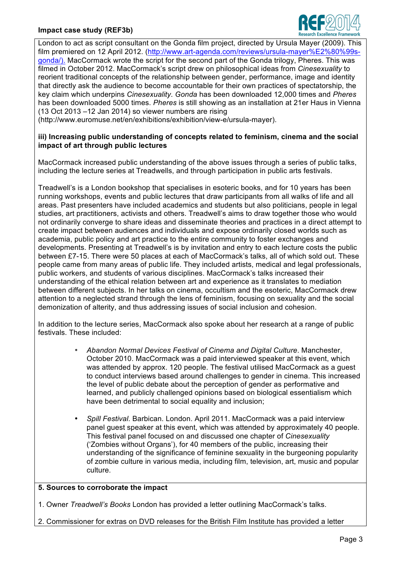### **Impact case study (REF3b)**



London to act as script consultant on the Gonda film project, directed by Ursula Mayer (2009). This film premiered on 12 April 2012. (http://www.art-agenda.com/reviews/ursula-mayer%E2%80%99sgonda/). MacCormack wrote the script for the second part of the Gonda trilogy, Pheres. This was filmed in October 2012. MacCormack's script drew on philosophical ideas from *Cinesexuality* to reorient traditional concepts of the relationship between gender, performance, image and identity that directly ask the audience to become accountable for their own practices of spectatorship, the key claim which underpins *Cinesexuality*. *Gonda* has been downloaded 12,000 times and *Pheres*  has been downloaded 5000 times. *Pheres* is still showing as an installation at 21er Haus in Vienna (13 Oct 2013 –12 Jan 2014) so viewer numbers are rising

(http://www.euromuse.net/en/exhibitions/exhibition/view-e/ursula-mayer).

### **iii) Increasing public understanding of concepts related to feminism, cinema and the social impact of art through public lectures**

MacCormack increased public understanding of the above issues through a series of public talks, including the lecture series at Treadwells, and through participation in public arts festivals.

Treadwell's is a London bookshop that specialises in esoteric books, and for 10 years has been running workshops, events and public lectures that draw participants from all walks of life and all areas. Past presenters have included academics and students but also politicians, people in legal studies, art practitioners, activists and others. Treadwell's aims to draw together those who would not ordinarily converge to share ideas and disseminate theories and practices in a direct attempt to create impact between audiences and individuals and expose ordinarily closed worlds such as academia, public policy and art practice to the entire community to foster exchanges and developments. Presenting at Treadwell's is by invitation and entry to each lecture costs the public between £7-15. There were 50 places at each of MacCormack's talks, all of which sold out. These people came from many areas of public life. They included artists, medical and legal professionals, public workers, and students of various disciplines. MacCormack's talks increased their understanding of the ethical relation between art and experience as it translates to mediation between different subjects. In her talks on cinema, occultism and the esoteric, MacCormack drew attention to a neglected strand through the lens of feminism, focusing on sexuality and the social demonization of alterity, and thus addressing issues of social inclusion and cohesion.

In addition to the lecture series, MacCormack also spoke about her research at a range of public festivals. These included:

- *Abandon Normal Devices Festival of Cinema and Digital Culture*. Manchester, October 2010. MacCormack was a paid interviewed speaker at this event, which was attended by approx. 120 people. The festival utilised MacCormack as a guest to conduct interviews based around challenges to gender in cinema. This increased the level of public debate about the perception of gender as performative and learned, and publicly challenged opinions based on biological essentialism which have been detrimental to social equality and inclusion;
- *Spill Festival*. Barbican. London. April 2011. MacCormack was a paid interview panel guest speaker at this event, which was attended by approximately 40 people. This festival panel focused on and discussed one chapter of *Cinesexuality*  ('Zombies without Organs'), for 40 members of the public, increasing their understanding of the significance of feminine sexuality in the burgeoning popularity of zombie culture in various media, including film, television, art, music and popular culture.

#### **5. Sources to corroborate the impact**

1. Owner *Treadwell's Books* London has provided a letter outlining MacCormack's talks.

2. Commissioner for extras on DVD releases for the British Film Institute has provided a letter